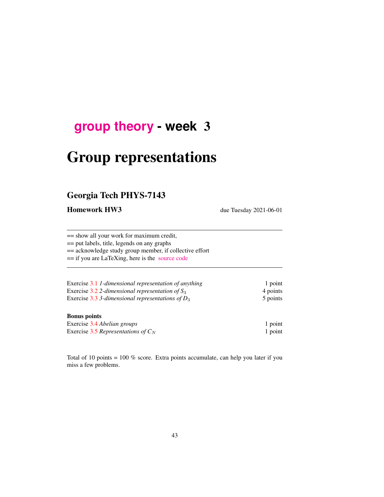## **[group theory](http://birdtracks.eu/course3/schedule.html) - week** 3

# Group representations

## Georgia Tech PHYS-7143

Homework HW3 due Tuesday 2021-06-01

== show all your work for maximum credit,

== put labels, title, legends on any graphs

== acknowledge study group member, if collective effort

== if you are LaTeXing, here is the [source code](http://birdtracks.eu/course3/exerWeek3.tex)

| Exercise 3.1 1-dimensional representation of anything | 1 point  |
|-------------------------------------------------------|----------|
| Exercise 3.2 2-dimensional representation of $S_3$    | 4 points |
| Exercise 3.3 3-dimensional representations of $D_3$   | 5 points |

#### Bonus points

| Exercise 3.4 Abelian groups           | 1 point |
|---------------------------------------|---------|
| Exercise 3.5 Representations of $C_N$ | 1 point |

Total of 10 points = 100 % score. Extra points accumulate, can help you later if you miss a few problems.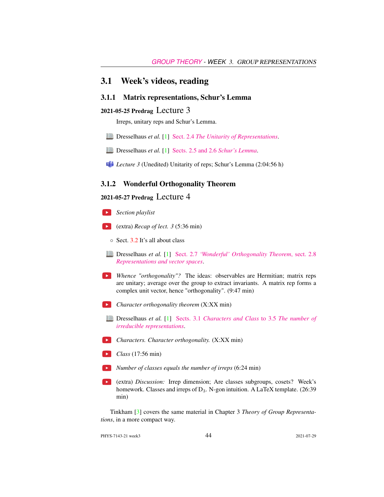#### 3.1 Week's videos, reading

#### 3.1.1 Matrix representations, Schur's Lemma

#### 2021-05-25 Predrag Lecture 3

Irreps, unitary reps and Schur's Lemma.

- Dresselhaus *et al.* [\[1\]](#page-4-0) Sect. 2.4 *[The Unitarity of Representations](http://chaosbook.org/library/Dresselhaus07.pdf#page=34)*.
- Dresselhaus *et al.* [\[1\]](#page-4-0) [Sects. 2.5 and 2.6](http://chaosbook.org/library/Dresselhaus07.pdf#page=35) *Schur's Lemma*.
- **Lecture 3** (Unedited) Unitarity of reps; Schur's Lemma (2:04:56 h)

#### 3.1.2 Wonderful Orthogonality Theorem

#### 2021-05-27 Predrag Lecture 4

- *Section playlist*
- (extra) *Recap of lect. 3* (5:36 min)
	- Sect. [3.2](#page-2-0) It's all about class
- Dresselhaus *et al.* [\[1\]](#page-4-0) Sect. 2.7 *['Wonderful' Orthogonality Theorem](http://chaosbook.org/library/Dresselhaus07.pdf#page=37)*, sect. 2.8 *[Representations and vector spaces](http://chaosbook.org/library/Dresselhaus07.pdf#page=37)*.
- **EX** Whence "orthogonality"? The ideas: observables are Hermitian; matrix reps are unitary; average over the group to extract invariants. A matrix rep forms a complex unit vector, hence "orthogonality". (9:47 min)
- *Character orthogonality theorem* (X:XX min)
- Dresselhaus *et al.* [\[1\]](#page-4-0) Sects. 3.1 *[Characters and Class](http://chaosbook.org/library/Dresselhaus07.pdf#page=41)* to 3.5 *The number of [irreducible representations](http://chaosbook.org/library/Dresselhaus07.pdf#page=41)*.
- *Characters. Character orthogonality.* (X:XX min)
- **Class** (17:56 min)
- *Number of classes equals the number of irreps* (6:24 min)
- (extra) *Discussion:* Irrep dimension; Are classes subgroups, cosets? Week's homework. Classes and irreps of  $D_3$ . N-gon intuition. A LaTeX template. (26:39 min)

Tinkham [\[3\]](#page-4-1) covers the same material in Chapter 3 *Theory of Group Representations*, in a more compact way.

PHYS-7143-21 week3 44 2021-07-29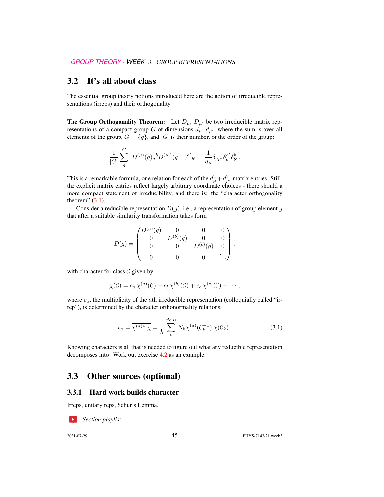### <span id="page-2-0"></span>3.2 It's all about class

The essential group theory notions introduced here are the notion of irreducible representations (irreps) and their orthogonality

**The Group Orthogonality Theorem:** Let  $D_{\mu}$ ,  $D_{\mu'}$  be two irreducible matrix representations of a compact group G of dimensions  $d_{\mu}$ ,  $d_{\mu'}$ , where the sum is over all elements of the group,  $G = \{g\}$ , and  $|G|$  is their number, or the order of the group:

$$
\frac{1}{|G|} \sum_{g}^{G} D^{(\mu)}(g)_{a}{}^{b} D^{(\mu')}(g^{-1})^{a'}{}_{b'} = \frac{1}{d_{\mu}} \delta_{\mu\mu'} \delta_{a}^{a'} \delta_{b'}^{b}.
$$

This is a remarkable formula, one relation for each of the  $d_{\mu}^2 + d_{\mu'}^2$  matrix entries. Still, the explicit matrix entries reflect largely arbitrary coordinate choices - there should a more compact statement of irreducibility, and there is: the "character orthogonality theorem"  $(3.1)$ .

Consider a reducible representation  $D(q)$ , i.e., a representation of group element g that after a suitable similarity transformation takes form

$$
D(g) = \begin{pmatrix} D^{(a)}(g) & 0 & 0 & 0 \\ 0 & D^{(b)}(g) & 0 & 0 \\ 0 & 0 & D^{(c)}(g) & 0 \\ 0 & 0 & 0 & \ddots \end{pmatrix},
$$

with character for class  $C$  given by

$$
\chi(\mathcal{C})=c_a\,\chi^{(a)}(\mathcal{C})+c_b\,\chi^{(b)}(\mathcal{C})+c_c\,\chi^{(c)}(\mathcal{C})+\cdots,
$$

where  $c_a$ , the multiplicity of the *a*th irreducible representation (colloquially called "irrep"), is determined by the character orthonormality relations,

<span id="page-2-1"></span>
$$
c_a = \overline{\chi^{(a)*} \chi} = \frac{1}{h} \sum_{k}^{class} N_k \chi^{(a)}(\mathcal{C}_k^{-1}) \chi(\mathcal{C}_k).
$$
 (3.1)

Knowing characters is all that is needed to figure out what any reducible representation decomposes into! Work out exercise 4.2 as an example.

#### 3.3 Other sources (optional)

#### 3.3.1 Hard work builds character

Irreps, unitary reps, Schur's Lemma.

*Section playlist*

2021-07-29 45 PHYS-7143-21 week3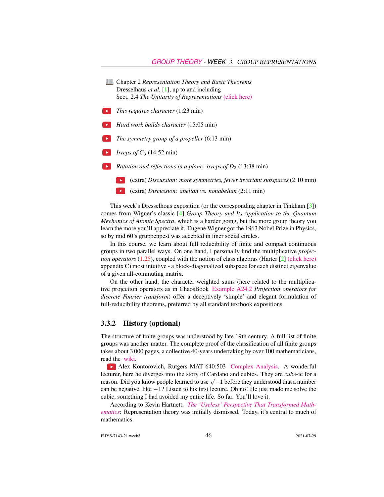| Chapter 2 Representation Theory and Basic Theorems<br>Dresselhaus <i>et al.</i> [1], up to and including |
|----------------------------------------------------------------------------------------------------------|
| Sect. 2.4 The Unitarity of Representations (click here)                                                  |
| <i>This requires character</i> (1:23 min)                                                                |
| <i>Hard work builds character</i> (15:05 min)                                                            |
| <i>The symmetry group of a propeller</i> (6:13 min)                                                      |
| <i>Irreps of</i> $C_3$ (14:52 min)                                                                       |
| <i>Rotation and reflections in a plane: irreps of <math>D_3</math> (13:38 min)</i>                       |
| (extra) Discussion: more symmetries, fewer invariant subspaces (2:10 min)                                |
| (extra) Discussion: abelian vs. nonabelian (2:11 min)                                                    |

This week's Dresselhous exposition (or the corresponding chapter in Tinkham [\[3\]](#page-4-1)) comes from Wigner's classic [\[4\]](#page-4-2) *Group Theory and Its Application to the Quantum Mechanics of Atomic Spectra*, which is a harder going, but the more group theory you learn the more you'll appreciate it. Eugene Wigner got the 1963 Nobel Prize in Physics, so by mid 60's gruppenpest was accepted in finer social circles.

In this course, we learn about full reducibility of finite and compact continuous groups in two parallel ways. On one hand, I personally find the multiplicative *projection operators* (1.25), coupled with the notion of class algebras (Harter [\[2\]](#page-4-3) [\(click here\)](http://ChaosBook.org/library/Harter78.pdf) appendix C) most intuitive - a block-diagonalized subspace for each distinct eigenvalue of a given all-commuting matrix.

On the other hand, the character weighted sums (here related to the multiplicative projection operators as in ChaosBook [Example A24.2](http://ChaosBook.org/chapters/ChaosBook.pdf#section.X.6) *Projection operators for discrete Fourier transform*) offer a deceptively 'simple' and elegant formulation of full-reducibility theorems, preferred by all standard textbook expositions.

#### 3.3.2 History (optional)

The structure of finite groups was understood by late 19th century. A full list of finite groups was another matter. The complete proof of the classification of all finite groups takes about 3 000 pages, a collective 40-years undertaking by over 100 mathematicians, read the [wiki.](https://en.wikipedia.org/wiki/Classification_of_finite_simple_groups)

Alex Kontorovich, Rutgers MAT 640:503 [Complex Analysis.](https://sites.math.rutgers.edu/~alexk/2020F503/lectures.html) A wonderful lecturer, here he diverges into the story of Cardano and cubics. They are *cube*-ic for a recturer, nere ne diverges into the story of Cardano and cubics. They are *cube*-ic for a<br>reason. Did you know people learned to use  $\sqrt{-1}$  before they understood that a number can be negative, like −1? Listen to his first lecture. Oh no! He just made me solve the cubic, something I had avoided my entire life. So far. You'll love it.

According to Kevin Hartnett, *[The 'Useless' Perspective That Transformed Math](https://www.quantamagazine.org/the-useless-perspective-that-transformed-mathematics-20200609/)[ematics](https://www.quantamagazine.org/the-useless-perspective-that-transformed-mathematics-20200609/)*: Representation theory was initially dismissed. Today, it's central to much of mathematics.

PHYS-7143-21 week3 2021-07-29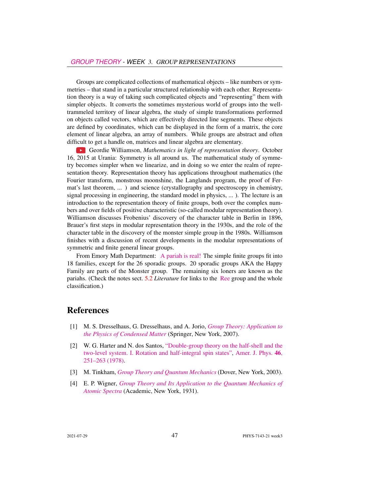Groups are complicated collections of mathematical objects – like numbers or symmetries – that stand in a particular structured relationship with each other. Representation theory is a way of taking such complicated objects and "representing" them with simpler objects. It converts the sometimes mysterious world of groups into the welltrammeled territory of linear algebra, the study of simple transformations performed on objects called vectors, which are effectively directed line segments. These objects are defined by coordinates, which can be displayed in the form of a matrix, the core element of linear algebra, an array of numbers. While groups are abstract and often difficult to get a handle on, matrices and linear algebra are elementary.

Geordie Williamson, *Mathematics in light of representation theory*. October 16, 2015 at Urania: Symmetry is all around us. The mathematical study of symmetry becomes simpler when we linearize, and in doing so we enter the realm of representation theory. Representation theory has applications throughout mathematics (the Fourier transform, monstrous moonshine, the Langlands program, the proof of Fermat's last theorem, ... ) and science (crystallography and spectroscopy in chemistry, signal processing in engineering, the standard model in physics, ... ). The lecture is an introduction to the representation theory of finite groups, both over the complex numbers and over fields of positive characteristic (so-called modular representation theory). Williamson discusses Frobenius' discovery of the character table in Berlin in 1896, Brauer's first steps in modular representation theory in the 1930s, and the role of the character table in the discovery of the monster simple group in the 1980s. Williamson finishes with a discussion of recent developments in the modular representations of symmetric and finite general linear groups.

From Emory Math Department: [A pariah is real!](https://cosmosmagazine.com/mathematics/moonshine-doughnut-maths-proves-pariahs-are-real) The simple finite groups fit into 18 families, except for the 26 sporadic groups. 20 sporadic groups AKA the Happy Family are parts of the Monster group. The remaining six loners are known as the pariahs. (Check the notes sect. 5.2 *Literature* for links to the [Ree](https://en.wikipedia.org/wiki/List_of_finite_simple_groups) group and the whole classification.)

#### References

- <span id="page-4-0"></span>[1] M. S. Dresselhaus, G. Dresselhaus, and A. Jorio, *[Group Theory: Application to](http://dx.doi.org/10.1007/978-3-540-32899-5) [the Physics of Condensed Matter](http://dx.doi.org/10.1007/978-3-540-32899-5)* (Springer, New York, 2007).
- <span id="page-4-3"></span>[2] W. G. Harter and N. dos Santos, ["Double-group theory on the half-shell and the](http://dx.doi.org/10.1119/1.11134) [two-level system. I. Rotation and half-integral spin states",](http://dx.doi.org/10.1119/1.11134) [Amer. J. Phys.](https://doi.org/10.1119/1.11134) 46, [251–263 \(1978\).](https://doi.org/10.1119/1.11134)
- <span id="page-4-1"></span>[3] M. Tinkham, *[Group Theory and Quantum Mechanics](http://dx.doi.org/10.1016/c2013-0-01646-5)* (Dover, New York, 2003).
- <span id="page-4-2"></span>[4] E. P. Wigner, *[Group Theory and Its Application to the Quantum Mechanics of](http://books.google.com/books?vid=ISBN9780323152785) [Atomic Spectra](http://books.google.com/books?vid=ISBN9780323152785)* (Academic, New York, 1931).